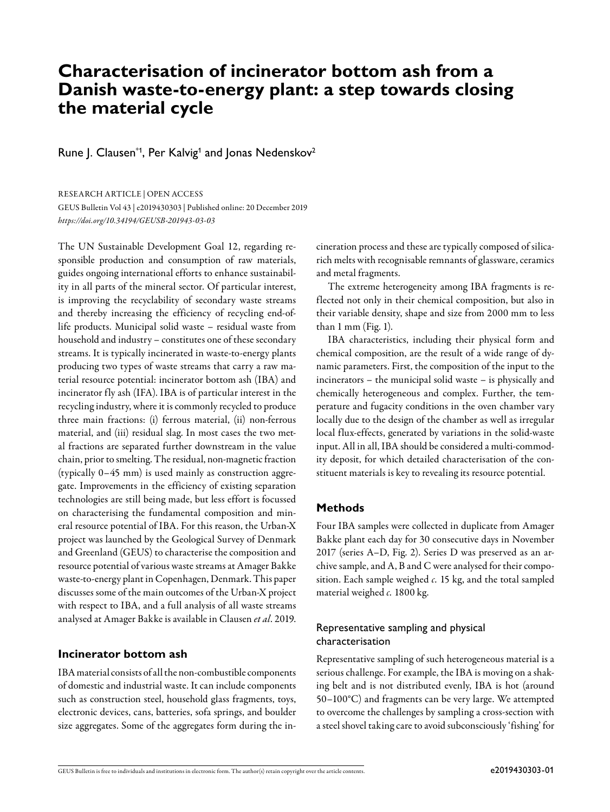# **Characterisation of incinerator bottom ash from a Danish waste-to-energy plant: a step towards closing the material cycle**

Rune J. Clausen $^{\ast_{1}}$ , Per Kalvig<sup>1</sup> and Jonas Nedenskov<sup>2</sup>

RESEARCH ARTICLE | OPEN ACCESS

GEUS Bulletin Vol 43 | e2019430303 | Published online: 20 December 2019 *<https://doi.org/10.34194/GEUSB-201943-03-03>*

The UN Sustainable Development Goal 12, regarding responsible production and consumption of raw materials, guides ongoing international efforts to enhance sustainability in all parts of the mineral sector. Of particular interest, is improving the recyclability of secondary waste streams and thereby increasing the efficiency of recycling end-oflife products. Municipal solid waste – residual waste from household and industry – constitutes one of these secondary streams. It is typically incinerated in waste-to-energy plants producing two types of waste streams that carry a raw material resource potential: incinerator bottom ash (IBA) and incinerator fly ash (IFA). IBA is of particular interest in the recycling industry, where it is commonly recycled to produce three main fractions: (i) ferrous material, (ii) non-ferrous material, and (iii) residual slag. In most cases the two metal fractions are separated further downstream in the value chain, prior to smelting. The residual, non-magnetic fraction (typically 0–45 mm) is used mainly as construction aggregate. Improvements in the efficiency of existing separation technologies are still being made, but less effort is focussed on characterising the fundamental composition and mineral resource potential of IBA. For this reason, the Urban-X project was launched by the Geological Survey of Denmark and Greenland (GEUS) to characterise the composition and resource potential of various waste streams at Amager Bakke waste-to-energy plant in Copenhagen, Denmark. This paper discusses some of the main outcomes of the Urban-X project with respect to IBA, and a full analysis of all waste streams analysed at Amager Bakke is available in Clausen *et al*. 2019.

# **Incinerator bottom ash**

IBA material consists of all the non-combustible components of domestic and industrial waste. It can include components such as construction steel, household glass fragments, toys, electronic devices, cans, batteries, sofa springs, and boulder size aggregates. Some of the aggregates form during the incineration process and these are typically composed of silicarich melts with recognisable remnants of glassware, ceramics and metal fragments.

The extreme heterogeneity among IBA fragments is reflected not only in their chemical composition, but also in their variable density, shape and size from 2000 mm to less than 1 mm (Fig. 1).

IBA characteristics, including their physical form and chemical composition, are the result of a wide range of dynamic parameters. First, the composition of the input to the incinerators – the municipal solid waste – is physically and chemically heterogeneous and complex. Further, the temperature and fugacity conditions in the oven chamber vary locally due to the design of the chamber as well as irregular local flux-effects, generated by variations in the solid-waste input. All in all, IBA should be considered a multi-commodity deposit, for which detailed characterisation of the constituent materials is key to revealing its resource potential.

# **Methods**

Four IBA samples were collected in duplicate from Amager Bakke plant each day for 30 consecutive days in November 2017 (series A–D, Fig. 2). Series D was preserved as an archive sample, and A, B and C were analysed for their composition. Each sample weighed *c.* 15 kg, and the total sampled material weighed *c.* 1800 kg.

# Representative sampling and physical characterisation

Representative sampling of such heterogeneous material is a serious challenge. For example, the IBA is moving on a shaking belt and is not distributed evenly, IBA is hot (around 50–100°C) and fragments can be very large. We attempted to overcome the challenges by sampling a cross-section with a steel shovel taking care to avoid subconsciously 'fishing' for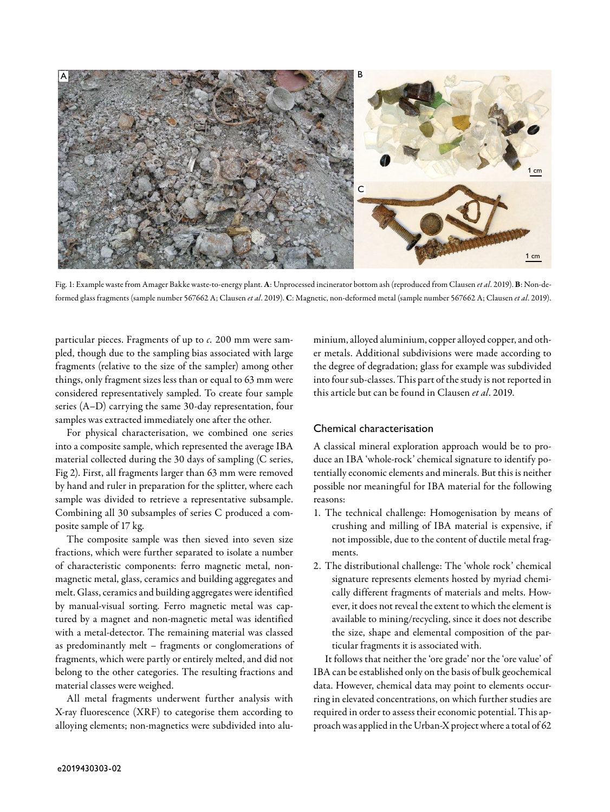

Fig. 1: Example waste from Amager Bakke waste-to-energy plant. A: Unprocessed incinerator bottom ash (reproduced from Clausen *et al*. 2019). B: Non-deformed glass fragments (sample number 567662 A; Clausen *et al*. 2019). C: Magnetic, non-deformed metal (sample number 567662 A; Clausen *et al*. 2019).

particular pieces. Fragments of up to *c.* 200 mm were sampled, though due to the sampling bias associated with large fragments (relative to the size of the sampler) among other things, only fragment sizes less than or equal to 63 mm were considered representatively sampled. To create four sample series (A–D) carrying the same 30-day representation, four samples was extracted immediately one after the other.

For physical characterisation, we combined one series into a composite sample, which represented the average IBA material collected during the 30 days of sampling (C series, Fig 2). First, all fragments larger than 63 mm were removed by hand and ruler in preparation for the splitter, where each sample was divided to retrieve a representative subsample. Combining all 30 subsamples of series C produced a composite sample of 17 kg.

The composite sample was then sieved into seven size fractions, which were further separated to isolate a number of characteristic components: ferro magnetic metal, nonmagnetic metal, glass, ceramics and building aggregates and melt. Glass, ceramics and building aggregates were identified by manual-visual sorting. Ferro magnetic metal was captured by a magnet and non-magnetic metal was identified with a metal-detector. The remaining material was classed as predominantly melt – fragments or conglomerations of fragments, which were partly or entirely melted, and did not belong to the other categories. The resulting fractions and material classes were weighed.

All metal fragments underwent further analysis with X-ray fluorescence (XRF) to categorise them according to alloying elements; non-magnetics were subdivided into aluminium, alloyed aluminium, copper alloyed copper, and other metals. Additional subdivisions were made according to the degree of degradation; glass for example was subdivided into four sub-classes. This part of the study is not reported in this article but can be found in Clausen *et al*. 2019.

#### Chemical characterisation

A classical mineral exploration approach would be to produce an IBA 'whole-rock' chemical signature to identify potentially economic elements and minerals. But this is neither possible nor meaningful for IBA material for the following reasons:

- 1. The technical challenge: Homogenisation by means of crushing and milling of IBA material is expensive, if not impossible, due to the content of ductile metal fragments.
- 2. The distributional challenge: The 'whole rock' chemical signature represents elements hosted by myriad chemically different fragments of materials and melts. However, it does not reveal the extent to which the element is available to mining/recycling, since it does not describe the size, shape and elemental composition of the particular fragments it is associated with.

It follows that neither the 'ore grade' nor the 'ore value' of IBA can be established only on the basis of bulk geochemical data. However, chemical data may point to elements occurring in elevated concentrations, on which further studies are required in order to assess their economic potential. This approach was applied in the Urban-X project where a total of 62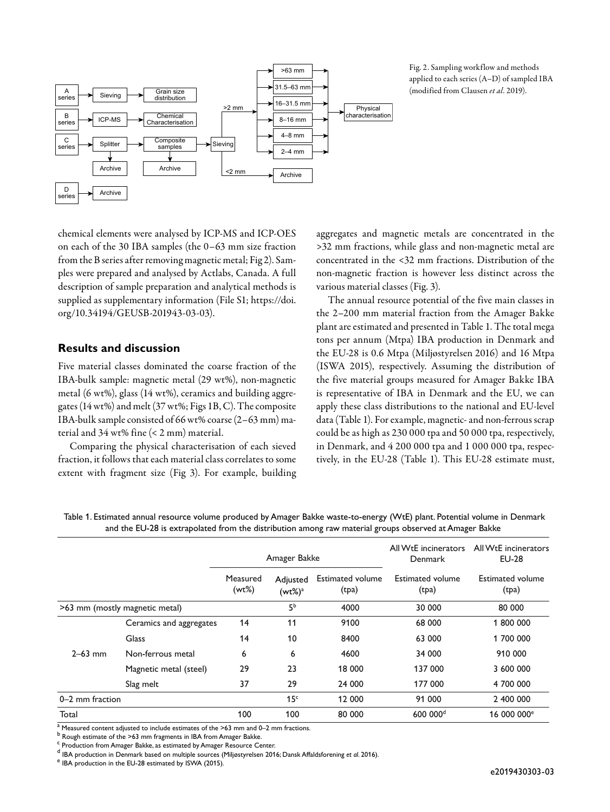



chemical elements were analysed by ICP-MS and ICP-OES on each of the 30 IBA samples (the 0–63 mm size fraction from the B series after removing magnetic metal; Fig 2). Samples were prepared and analysed by Actlabs, Canada. A full description of sample preparation and analytical methods is supplied as supplementary information (File S1; [https://doi.](https://doi.org/10.34194/GEUSB-201943-03-03) [org/10.34194/GEUSB-201943-03-03](https://doi.org/10.34194/GEUSB-201943-03-03)).

#### **Results and discussion**

Five material classes dominated the coarse fraction of the IBA-bulk sample: magnetic metal (29 wt%), non-magnetic metal (6 wt%), glass (14 wt%), ceramics and building aggregates (14 wt%) and melt (37 wt%; Figs 1B, C). The composite IBA-bulk sample consisted of 66 wt% coarse (2–63 mm) material and 34 wt% fine (< 2 mm) material.

Comparing the physical characterisation of each sieved fraction, it follows that each material class correlates to some extent with fragment size (Fig 3). For example, building

aggregates and magnetic metals are concentrated in the >32 mm fractions, while glass and non-magnetic metal are concentrated in the <32 mm fractions. Distribution of the non-magnetic fraction is however less distinct across the various material classes (Fig. 3).

The annual resource potential of the five main classes in the 2–200 mm material fraction from the Amager Bakke plant are estimated and presented in Table 1. The total mega tons per annum (Mtpa) IBA production in Denmark and the EU-28 is 0.6 Mtpa (Miljøstyrelsen 2016) and 16 Mtpa (ISWA 2015), respectively. Assuming the distribution of the five material groups measured for Amager Bakke IBA is representative of IBA in Denmark and the EU, we can apply these class distributions to the national and EU-level data (Table 1). For example, magnetic- and non-ferrous scrap could be as high as 230 000 tpa and 50 000 tpa, respectively, in Denmark, and 4 200 000 tpa and 1 000 000 tpa, respectively, in the EU-28 (Table 1). This EU-28 estimate must,

Table 1. Estimated annual resource volume produced by Amager Bakke waste-to-energy (WtE) plant. Potential volume in Denmark and the EU-28 is extrapolated from the distribution among raw material groups observed at Amager Bakke

|                                |                         | Amager Bakke      |                        | All W <sub>t</sub> E incinerators<br>Denmark | All W <sub>t</sub> E incinerators<br><b>EU-28</b> |                                  |
|--------------------------------|-------------------------|-------------------|------------------------|----------------------------------------------|---------------------------------------------------|----------------------------------|
|                                |                         | Measured<br>(wt%) | Adjusted<br>$(wt\%)^a$ | <b>Estimated volume</b><br>(tpa)             | Estimated volume<br>(tpa)                         | <b>Estimated volume</b><br>(tpa) |
| >63 mm (mostly magnetic metal) |                         |                   | 5 <sup>b</sup>         | 4000                                         | 30 000                                            | 80 000                           |
|                                | Ceramics and aggregates | 14                | 11                     | 9100                                         | 68 000                                            | 1 800 000                        |
|                                | Glass                   | 14                | 10                     | 8400                                         | 63 000                                            | 1 700 000                        |
| $2 - 63$ mm                    | Non-ferrous metal       | 6                 | 6                      | 4600                                         | 34 000                                            | 910 000                          |
|                                | Magnetic metal (steel)  | 29                | 23                     | 18 000                                       | 137 000                                           | 3 600 000                        |
|                                | Slag melt               | 37                | 29                     | 24 000                                       | 177 000                                           | 4 700 000                        |
| 0-2 mm fraction                |                         |                   | 15 <sup>c</sup>        | 12 000                                       | 91 000                                            | 2 400 000                        |
| Total                          |                         | 100               | 100                    | 80 000                                       | 600 000 <sup>d</sup>                              | 16 000 000 <sup>e</sup>          |

 $a<sup>a</sup>$  Measured content adjusted to include estimates of the >63 mm and 0–2 mm fractions.

b<br>Rough estimate of the >63 mm fragments in IBA from Amager Bakke.

<sup>c</sup> Production from Amager Bakke, as estimated by Amager Resource Center.

<sup>d</sup> IBA production in Denmark based on multiple sources (Miljøstyrelsen 2016; Dansk Affaldsforening et al. 2016).<br><sup>e</sup> IBA production in the ELL28 estimated by ISWA (2015).

<sup>e</sup> IBA production in the EU-28 estimated by ISWA (2015).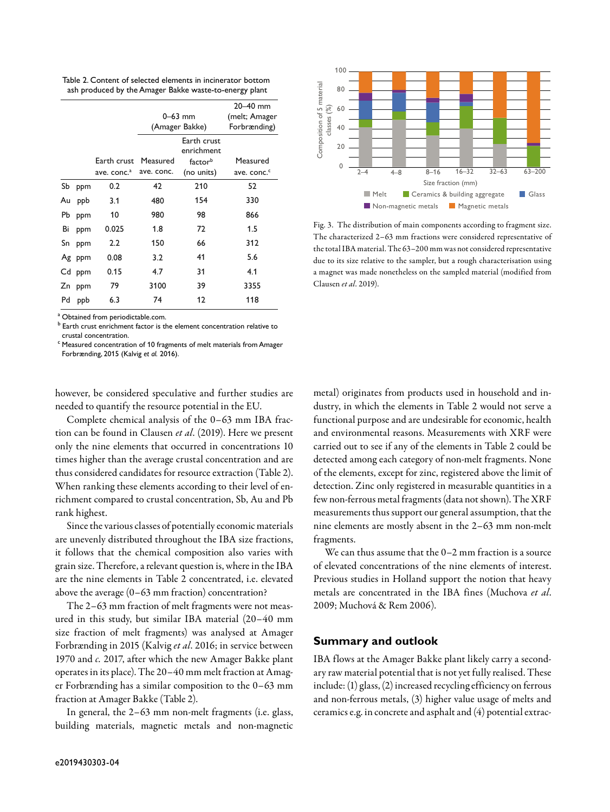Table 2. Content of selected elements in incinerator bottom ash produced by the Amager Bakke waste-to-energy plant

|    |        |                         |                |               | $20 - 40$ mm            |
|----|--------|-------------------------|----------------|---------------|-------------------------|
|    |        |                         | $0 - 63$ mm    | (melt; Amager |                         |
|    |        |                         | (Amager Bakke) | Forbrænding)  |                         |
|    |        |                         |                | Earth crust   |                         |
|    |        |                         |                | enrichment    |                         |
|    |        | Earth crust             | Measured       | factorb       | Measured                |
|    |        | ave. conc. <sup>a</sup> | ave. conc.     | (no units)    | ave. conc. <sup>c</sup> |
| Sb | ppm    | 0.2                     | 42             | 210           | 52                      |
| Au | ppb    | 3.1                     | 480            | 154           | 330                     |
| Рb | ppm    | 10                      | 980            | 98            | 866                     |
| Bi | ppm    | 0.025                   | 1.8            | 72            | 1.5                     |
| Sn | ppm    | 2.2                     | 150            | 66            | 312                     |
|    | Ag ppm | 0.08                    | 3.2            | 41            | 5.6                     |
|    | Cd ppm | 0.15                    | 4.7            | 31            | 4.1                     |
| Zn | ppm    | 79                      | 3100           | 39            | 3355                    |
| Pd | ppb    | 6.3                     | 74             | 12            | 118                     |
|    |        |                         |                |               |                         |

<sup>a</sup> Obtained from periodictable.com.

b Earth crust enrichment factor is the element concentration relative to crustal concentration.

 $\degree$  Measured concentration of 10 fragments of melt materials from Amager Forbrænding, 2015 (Kalvig *et al.* 2016).

however, be considered speculative and further studies are needed to quantify the resource potential in the EU.

Complete chemical analysis of the 0–63 mm IBA fraction can be found in Clausen *et al*. (2019). Here we present only the nine elements that occurred in concentrations 10 times higher than the average crustal concentration and are thus considered candidates for resource extraction (Table 2). When ranking these elements according to their level of enrichment compared to crustal concentration, Sb, Au and Pb rank highest.

Since the various classes of potentially economic materials are unevenly distributed throughout the IBA size fractions, it follows that the chemical composition also varies with grain size. Therefore, a relevant question is, where in the IBA are the nine elements in Table 2 concentrated, i.e. elevated above the average (0–63 mm fraction) concentration?

The 2–63 mm fraction of melt fragments were not measured in this study, but similar IBA material (20–40 mm size fraction of melt fragments) was analysed at Amager Forbrænding in 2015 (Kalvig *et al*. 2016; in service between 1970 and *c.* 2017, after which the new Amager Bakke plant operates in its place). The 20–40 mm melt fraction at Amager Forbrænding has a similar composition to the 0–63 mm fraction at Amager Bakke (Table 2).

In general, the 2–63 mm non-melt fragments (i.e. glass, building materials, magnetic metals and non-magnetic



Fig. 3. The distribution of main components according to fragment size. The characterized 2–63 mm fractions were considered representative of the total IBA material. The 63–200 mm was not considered representative due to its size relative to the sampler, but a rough characterisation using a magnet was made nonetheless on the sampled material (modified from Clausen *et al*. 2019).

metal) originates from products used in household and industry, in which the elements in Table 2 would not serve a functional purpose and are undesirable for economic, health and environmental reasons. Measurements with XRF were carried out to see if any of the elements in Table 2 could be detected among each category of non-melt fragments. None of the elements, except for zinc, registered above the limit of detection. Zinc only registered in measurable quantities in a few non-ferrous metal fragments (data not shown). The XRF measurements thus support our general assumption, that the nine elements are mostly absent in the 2–63 mm non-melt fragments.

We can thus assume that the 0–2 mm fraction is a source of elevated concentrations of the nine elements of interest. Previous studies in Holland support the notion that heavy metals are concentrated in the IBA fines (Muchova *et al*. 2009; Muchová & Rem 2006).

#### **Summary and outlook**

IBA flows at the Amager Bakke plant likely carry a secondary raw material potential that is not yet fully realised. These include: (1) glass, (2) increased recycling efficiency on ferrous and non-ferrous metals, (3) higher value usage of melts and ceramics e.g. in concrete and asphalt and (4) potential extrac